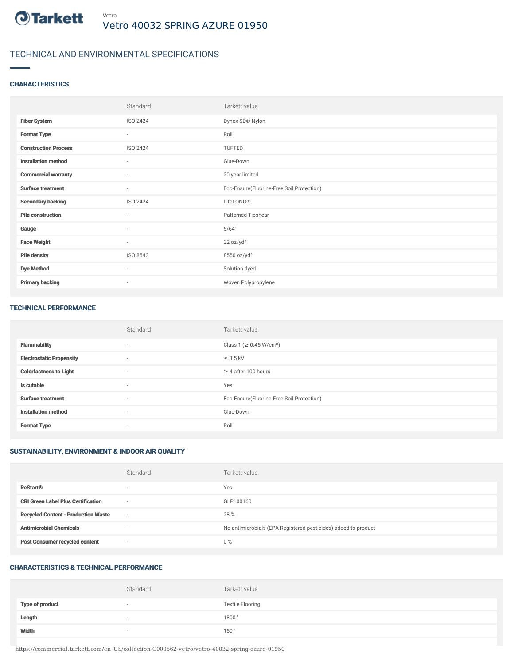

# TECHNICAL AND ENVIRONMENTAL SPECIFICATIONS

## **CHARACTERISTICS**

|                             | Standard                 | Tarkett value                             |
|-----------------------------|--------------------------|-------------------------------------------|
| <b>Fiber System</b>         | ISO 2424                 | Dynex SD® Nylon                           |
| <b>Format Type</b>          | $\sim$                   | Roll                                      |
| <b>Construction Process</b> | ISO 2424                 | TUFTED                                    |
| <b>Installation method</b>  | $\sim$                   | Glue-Down                                 |
| <b>Commercial warranty</b>  | $\sim$                   | 20 year limited                           |
| <b>Surface treatment</b>    | $\sim$                   | Eco-Ensure(Fluorine-Free Soil Protection) |
| <b>Secondary backing</b>    | ISO 2424                 | LifeLONG®                                 |
| <b>Pile construction</b>    | $\sim$                   | Patterned Tipshear                        |
| Gauge                       | $\overline{\phantom{a}}$ | 5/64"                                     |
| <b>Face Weight</b>          | $\sim$                   | 32 oz/yd <sup>2</sup>                     |
| <b>Pile density</b>         | ISO 8543                 | 8550 oz/yd <sup>3</sup>                   |
| <b>Dye Method</b>           | $\sim$                   | Solution dyed                             |
| <b>Primary backing</b>      | $\sim$                   | Woven Polypropylene                       |

#### TECHNICAL PERFORMANCE

|                                 | Standard                 | Tarkett value                             |
|---------------------------------|--------------------------|-------------------------------------------|
| <b>Flammability</b>             | $\sim$                   | Class 1 (≥ 0.45 W/cm <sup>2</sup> )       |
| <b>Electrostatic Propensity</b> | $\overline{\phantom{a}}$ | $\leq$ 3.5 kV                             |
| <b>Colorfastness to Light</b>   | $\sim$                   | $\geq$ 4 after 100 hours                  |
| Is cutable                      | $\sim$                   | Yes                                       |
| <b>Surface treatment</b>        | $\sim$                   | Eco-Ensure(Fluorine-Free Soil Protection) |
| <b>Installation method</b>      | $\sim$                   | Glue-Down                                 |
| <b>Format Type</b>              | $\sim$                   | Roll                                      |

# SUSTAINABILITY, ENVIRONMENT & INDOOR AIR QUALITY

|                                            | Standard                 | Tarkett value                                                  |
|--------------------------------------------|--------------------------|----------------------------------------------------------------|
| <b>ReStart®</b>                            | $\overline{\phantom{a}}$ | Yes                                                            |
| <b>CRI Green Label Plus Certification</b>  | $\overline{\phantom{a}}$ | GLP100160                                                      |
| <b>Recycled Content - Production Waste</b> | $\sim$                   | 28 %                                                           |
| <b>Antimicrobial Chemicals</b>             | $\overline{\phantom{a}}$ | No antimicrobials (EPA Registered pesticides) added to product |
| <b>Post Consumer recycled content</b>      | $\overline{\phantom{a}}$ | $0\%$                                                          |

## CHARACTERISTICS & TECHNICAL PERFORMANCE

|                        | Standard                 | Tarkett value           |
|------------------------|--------------------------|-------------------------|
| <b>Type of product</b> | $\overline{\phantom{a}}$ | <b>Textile Flooring</b> |
| Length                 | $\sim$                   | 1800                    |
| Width                  | $\sim$                   | 150                     |

https://commercial.tarkett.com/en\_US/collection-C000562-vetro/vetro-40032-spring-azure-01950